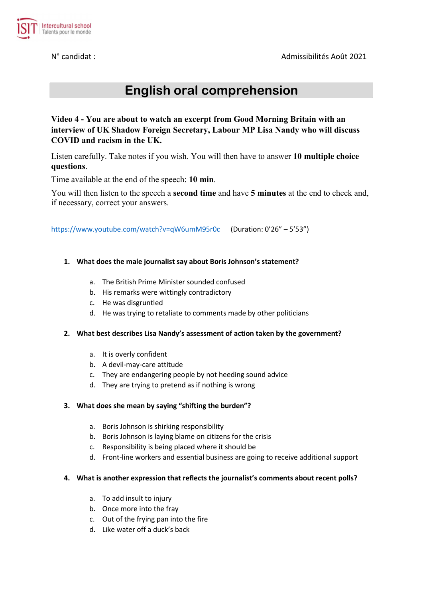N° candidat : Admissibilités Août 2021



# English oral comprehension

Video 4 - You are about to watch an excerpt from Good Morning Britain with an interview of UK Shadow Foreign Secretary, Labour MP Lisa Nandy who will discuss COVID and racism in the UK.

Listen carefully. Take notes if you wish. You will then have to answer 10 multiple choice questions.

Time available at the end of the speech: 10 min.

You will then listen to the speech a **second time** and have 5 **minutes** at the end to check and, if necessary, correct your answers.

https://www.youtube.com/watch?v=qW6umM95r0c (Duration: 0'26" – 5'53")

### 1. What does the male journalist say about Boris Johnson's statement?

- a. The British Prime Minister sounded confused
- b. His remarks were wittingly contradictory
- c. He was disgruntled
- d. He was trying to retaliate to comments made by other politicians

#### 2. What best describes Lisa Nandy's assessment of action taken by the government?

- a. It is overly confident
- b. A devil-may-care attitude
- c. They are endangering people by not heeding sound advice
- d. They are trying to pretend as if nothing is wrong

#### 3. What does she mean by saying "shifting the burden"?

- a. Boris Johnson is shirking responsibility
- b. Boris Johnson is laying blame on citizens for the crisis
- c. Responsibility is being placed where it should be
- d. Front-line workers and essential business are going to receive additional support

#### 4. What is another expression that reflects the journalist's comments about recent polls?

- a. To add insult to injury
- b. Once more into the fray
- c. Out of the frying pan into the fire
- d. Like water off a duck's back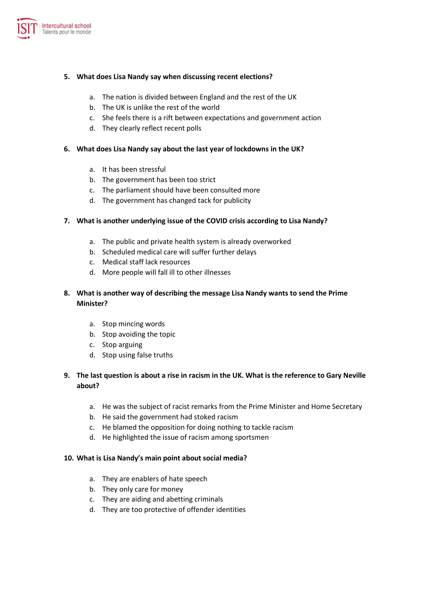

#### 5. What does Lisa Nandy say when discussing recent elections?

- a. The nation is divided between England and the rest of the UK
- b. The UK is unlike the rest of the world
- c. She feels there is a rift between expectations and government action
- d. They clearly reflect recent polls

#### 6. What does Lisa Nandy say about the last year of lockdowns in the UK?

- a. It has been stressful
- b. The government has been too strict
- c. The parliament should have been consulted more
- d. The government has changed tack for publicity

### 7. What is another underlying issue of the COVID crisis according to Lisa Nandy?

- a. The public and private health system is already overworked
- b. Scheduled medical care will suffer further delays
- c. Medical staff lack resources
- d. More people will fall ill to other illnesses

# 8. What is another way of describing the message Lisa Nandy wants to send the Prime Minister?

- a. Stop mincing words
- b. Stop avoiding the topic
- c. Stop arguing
- d. Stop using false truths

## 9. The last question is about a rise in racism in the UK. What is the reference to Gary Neville about?

- a. He was the subject of racist remarks from the Prime Minister and Home Secretary
- b. He said the government had stoked racism
- c. He blamed the opposition for doing nothing to tackle racism
- d. He highlighted the issue of racism among sportsmen

#### 10. What is Lisa Nandy's main point about social media?

- a. They are enablers of hate speech
- b. They only care for money
- c. They are aiding and abetting criminals
- d. They are too protective of offender identities